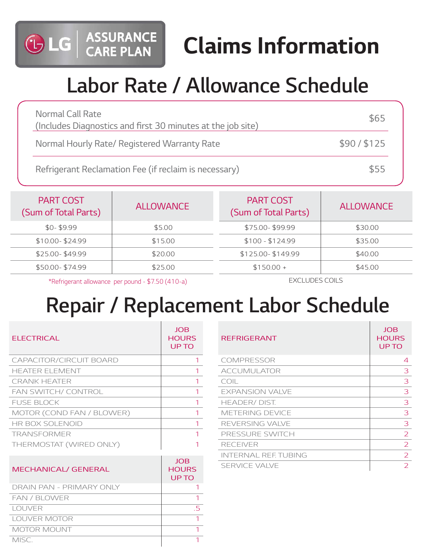

# **Labor Rate / Allowance Schedule**

| Normal Call Rate<br>(Includes Diagnostics and first 30 minutes at the job site) | \$65       |
|---------------------------------------------------------------------------------|------------|
| Normal Hourly Rate/ Registered Warranty Rate                                    | \$90/\$125 |
| Refrigerant Reclamation Fee (if reclaim is necessary)                           | \$55       |

| <b>PART COST</b><br>(Sum of Total Parts) | <b>ALLOWANCE</b> | <b>PART COST</b><br>(Sum of Total Parts) | <b>ALLOWANCE</b> |
|------------------------------------------|------------------|------------------------------------------|------------------|
| $$0-$9.99$                               | \$5.00           | \$75.00-\$99.99                          | \$30.00          |
| \$10.00-\$24.99                          | \$15.00          | $$100 - $124.99$                         | \$35.00          |
| \$25.00-\$49.99                          | \$20.00          | \$125.00-\$149.99                        | \$40.00          |
| \$50.00-\$74.99                          | \$25.00          | $$150.00 +$                              | \$45.00          |

\*Refrigerant allowance per pound - \$7.50 (410-a)

ASSURANCE<br>CARE PLAN

GLG

EXCLUDES COILS

## **Repair / Replacement Labor Schedule**

| <b>ELECTRICAL</b>          | <b>JOB</b><br><b>HOURS</b><br>UP TO | <b>REFRIGERANT</b>          | <b>JOB</b><br><b>HOURS</b><br>UP TO |
|----------------------------|-------------------------------------|-----------------------------|-------------------------------------|
| CAPACITOR/CIRCUIT BOARD    |                                     | <b>COMPRESSOR</b>           | $\overline{A}$                      |
| <b>HEATER ELEMENT</b>      |                                     | <b>ACCUMULATOR</b>          | 3                                   |
| <b>CRANK HEATER</b>        |                                     | COIL                        | 3                                   |
| FAN SWITCH/ CONTROL        |                                     | <b>EXPANSION VALVE</b>      | 3                                   |
| <b>FUSE BLOCK</b>          |                                     | HEADER/DIST.                | 3                                   |
| MOTOR (COND FAN / BLOWER)  |                                     | METERING DEVICE             | 3                                   |
| HR BOX SOLENOID            |                                     | REVERSING VALVE             | 3                                   |
| <b>TRANSFORMER</b>         |                                     | PRESSURE SWITCH             | $\overline{2}$                      |
| THERMOSTAT (WIRED ONLY)    |                                     | <b>RECEIVER</b>             | $\overline{2}$                      |
|                            |                                     | <b>INTERNAL REF. TUBING</b> | $\overline{2}$                      |
| <b>MECHANICAL/ GENERAL</b> | <b>JOB</b><br><b>HOURS</b><br>UP TO | <b>SERVICE VALVE</b>        | $\overline{2}$                      |
| DRAIN PAN - PRIMARY ONLY   |                                     |                             |                                     |
| FAN / BLOWER               |                                     |                             |                                     |

LOUVER 5 LOUVER MOTOR 1 MOTOR MOUNT THE MOTOR MOUNT THE STATE OF THE MOTOR MOUNT MISC.

| <b>REFRIGERANT</b>     | <b>JOB</b><br><b>HOURS</b><br>UP TO |
|------------------------|-------------------------------------|
| COMPRESSOR             | 4                                   |
| <b>ACCUMULATOR</b>     | 3                                   |
| COIL                   | 3                                   |
| <b>EXPANSION VALVE</b> | 3                                   |
| HEADER/DIST.           | 3                                   |
| METERING DEVICE        | 3                                   |
| REVERSING VALVE        | 3                                   |
| PRESSURE SWITCH        | $\mathcal{P}$                       |
| <b>RECEIVER</b>        | $\overline{2}$                      |
| INTERNAL REF. TUBING   | $\mathcal{L}$                       |
| <b>SERVICE VALVE</b>   | フ                                   |